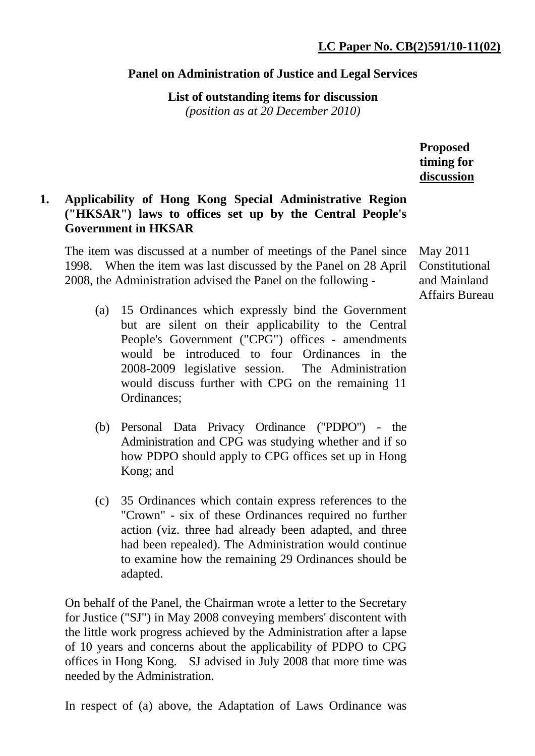#### **Panel on Administration of Justice and Legal Services**

**List of outstanding items for discussion** 

*(position as at 20 December 2010)*

**Proposed timing for discussion**

# **1. Applicability of Hong Kong Special Administrative Region ("HKSAR") laws to offices set up by the Central People's Government in HKSAR**

The item was discussed at a number of meetings of the Panel since 1998. When the item was last discussed by the Panel on 28 April 2008, the Administration advised the Panel on the following -

- (a) 15 Ordinances which expressly bind the Government but are silent on their applicability to the Central People's Government ("CPG") offices - amendments would be introduced to four Ordinances in the 2008-2009 legislative session. The Administration would discuss further with CPG on the remaining 11 Ordinances;
- (b) Personal Data Privacy Ordinance ("PDPO") the Administration and CPG was studying whether and if so how PDPO should apply to CPG offices set up in Hong Kong; and
- (c) 35 Ordinances which contain express references to the "Crown" - six of these Ordinances required no further action (viz. three had already been adapted, and three had been repealed). The Administration would continue to examine how the remaining 29 Ordinances should be adapted.

On behalf of the Panel, the Chairman wrote a letter to the Secretary for Justice ("SJ") in May 2008 conveying members' discontent with the little work progress achieved by the Administration after a lapse of 10 years and concerns about the applicability of PDPO to CPG offices in Hong Kong. SJ advised in July 2008 that more time was needed by the Administration.

In respect of (a) above, the Adaptation of Laws Ordinance was

May 2011 Constitutional and Mainland Affairs Bureau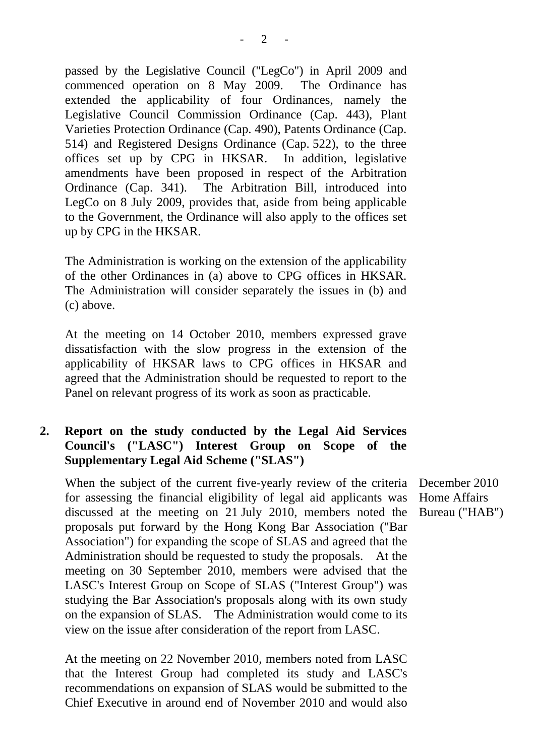passed by the Legislative Council ("LegCo") in April 2009 and commenced operation on 8 May 2009. The Ordinance has extended the applicability of four Ordinances, namely the Legislative Council Commission Ordinance (Cap. 443), Plant Varieties Protection Ordinance (Cap. 490), Patents Ordinance (Cap. 514) and Registered Designs Ordinance (Cap. 522), to the three offices set up by CPG in HKSAR. In addition, legislative amendments have been proposed in respect of the Arbitration Ordinance (Cap. 341). The Arbitration Bill, introduced into LegCo on 8 July 2009, provides that, aside from being applicable to the Government, the Ordinance will also apply to the offices set up by CPG in the HKSAR.

The Administration is working on the extension of the applicability of the other Ordinances in (a) above to CPG offices in HKSAR. The Administration will consider separately the issues in (b) and (c) above.

At the meeting on 14 October 2010, members expressed grave dissatisfaction with the slow progress in the extension of the applicability of HKSAR laws to CPG offices in HKSAR and agreed that the Administration should be requested to report to the Panel on relevant progress of its work as soon as practicable.

# **2. Report on the study conducted by the Legal Aid Services Council's ("LASC") Interest Group on Scope of the Supplementary Legal Aid Scheme ("SLAS")**

When the subject of the current five-yearly review of the criteria December 2010 for assessing the financial eligibility of legal aid applicants was discussed at the meeting on 21 July 2010, members noted the proposals put forward by the Hong Kong Bar Association ("Bar Association") for expanding the scope of SLAS and agreed that the Administration should be requested to study the proposals. At the meeting on 30 September 2010, members were advised that the LASC's Interest Group on Scope of SLAS ("Interest Group") was studying the Bar Association's proposals along with its own study on the expansion of SLAS. The Administration would come to its view on the issue after consideration of the report from LASC.

At the meeting on 22 November 2010, members noted from LASC that the Interest Group had completed its study and LASC's recommendations on expansion of SLAS would be submitted to the Chief Executive in around end of November 2010 and would also

Home Affairs Bureau ("HAB")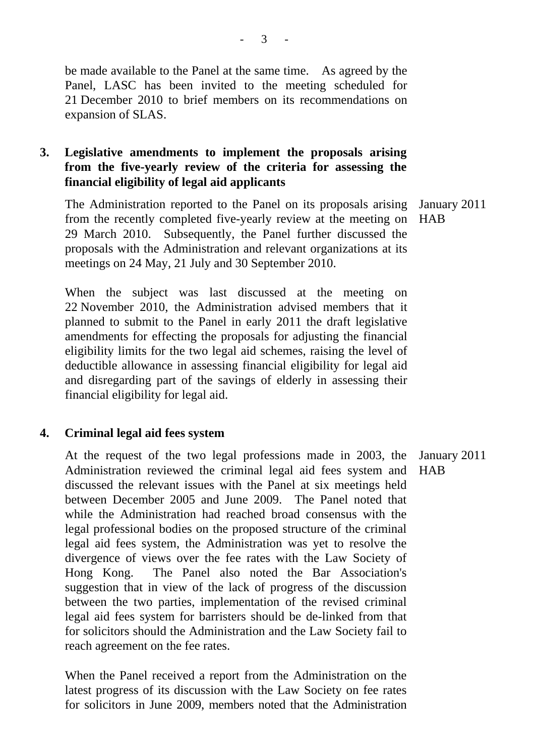be made available to the Panel at the same time. As agreed by the Panel, LASC has been invited to the meeting scheduled for 21 December 2010 to brief members on its recommendations on expansion of SLAS.

# **3. Legislative amendments to implement the proposals arising from the five-yearly review of the criteria for assessing the financial eligibility of legal aid applicants**

 The Administration reported to the Panel on its proposals arising from the recently completed five-yearly review at the meeting on HAB 29 March 2010. Subsequently, the Panel further discussed the proposals with the Administration and relevant organizations at its meetings on 24 May, 21 July and 30 September 2010. January 2011

When the subject was last discussed at the meeting on 22 November 2010, the Administration advised members that it planned to submit to the Panel in early 2011 the draft legislative amendments for effecting the proposals for adjusting the financial eligibility limits for the two legal aid schemes, raising the level of deductible allowance in assessing financial eligibility for legal aid and disregarding part of the savings of elderly in assessing their financial eligibility for legal aid.

#### **4. Criminal legal aid fees system**

 At the request of the two legal professions made in 2003, the Administration reviewed the criminal legal aid fees system and discussed the relevant issues with the Panel at six meetings held between December 2005 and June 2009. The Panel noted that while the Administration had reached broad consensus with the legal professional bodies on the proposed structure of the criminal legal aid fees system, the Administration was yet to resolve the divergence of views over the fee rates with the Law Society of Hong Kong. The Panel also noted the Bar Association's suggestion that in view of the lack of progress of the discussion between the two parties, implementation of the revised criminal legal aid fees system for barristers should be de-linked from that for solicitors should the Administration and the Law Society fail to reach agreement on the fee rates. January 2011 HAB

When the Panel received a report from the Administration on the latest progress of its discussion with the Law Society on fee rates for solicitors in June 2009, members noted that the Administration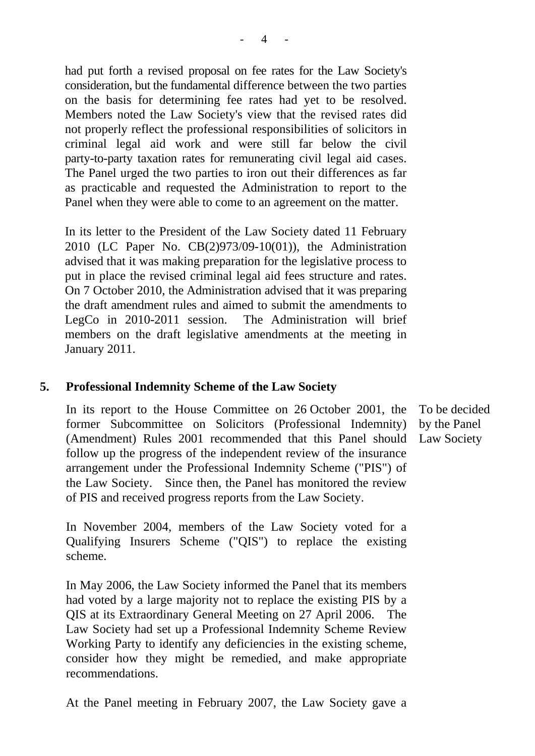had put forth a revised proposal on fee rates for the Law Society's consideration, but the fundamental difference between the two parties on the basis for determining fee rates had yet to be resolved. Members noted the Law Society's view that the revised rates did not properly reflect the professional responsibilities of solicitors in criminal legal aid work and were still far below the civil party-to-party taxation rates for remunerating civil legal aid cases. The Panel urged the two parties to iron out their differences as far as practicable and requested the Administration to report to the Panel when they were able to come to an agreement on the matter.

In its letter to the President of the Law Society dated 11 February 2010 (LC Paper No. CB(2)973/09-10(01)), the Administration advised that it was making preparation for the legislative process to put in place the revised criminal legal aid fees structure and rates. On 7 October 2010, the Administration advised that it was preparing the draft amendment rules and aimed to submit the amendments to LegCo in 2010-2011 session. The Administration will brief members on the draft legislative amendments at the meeting in January 2011.

#### **5. Professional Indemnity Scheme of the Law Society**

In its report to the House Committee on 26 October 2001, the former Subcommittee on Solicitors (Professional Indemnity) (Amendment) Rules 2001 recommended that this Panel should Law Society follow up the progress of the independent review of the insurance arrangement under the Professional Indemnity Scheme ("PIS") of the Law Society. Since then, the Panel has monitored the review of PIS and received progress reports from the Law Society.

In November 2004, members of the Law Society voted for a Qualifying Insurers Scheme ("QIS") to replace the existing scheme.

In May 2006, the Law Society informed the Panel that its members had voted by a large majority not to replace the existing PIS by a QIS at its Extraordinary General Meeting on 27 April 2006. The Law Society had set up a Professional Indemnity Scheme Review Working Party to identify any deficiencies in the existing scheme, consider how they might be remedied, and make appropriate recommendations.

At the Panel meeting in February 2007, the Law Society gave a

To be decided by the Panel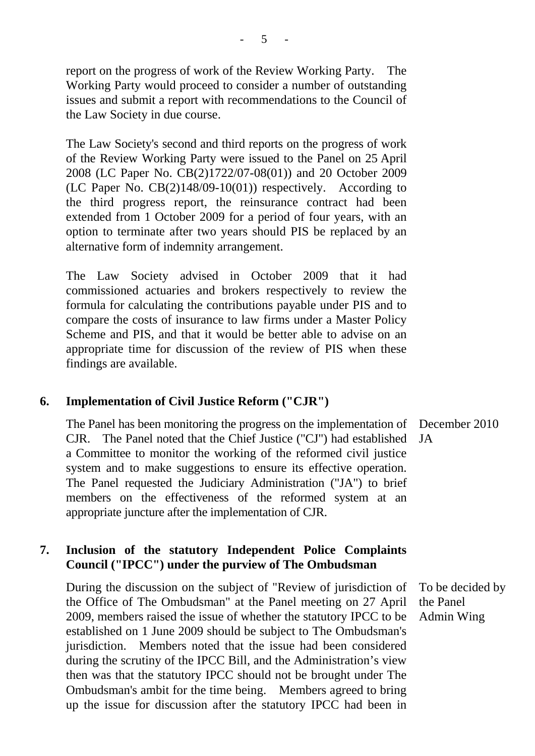report on the progress of work of the Review Working Party. The Working Party would proceed to consider a number of outstanding issues and submit a report with recommendations to the Council of the Law Society in due course.

The Law Society's second and third reports on the progress of work of the Review Working Party were issued to the Panel on 25 April 2008 (LC Paper No. CB(2)1722/07-08(01)) and 20 October 2009 (LC Paper No. CB(2)148/09-10(01)) respectively. According to the third progress report, the reinsurance contract had been extended from 1 October 2009 for a period of four years, with an option to terminate after two years should PIS be replaced by an alternative form of indemnity arrangement.

The Law Society advised in October 2009 that it had commissioned actuaries and brokers respectively to review the formula for calculating the contributions payable under PIS and to compare the costs of insurance to law firms under a Master Policy Scheme and PIS, and that it would be better able to advise on an appropriate time for discussion of the review of PIS when these findings are available.

#### **6. Implementation of Civil Justice Reform ("CJR")**

The Panel has been monitoring the progress on the implementation of December 2010 CJR. The Panel noted that the Chief Justice ("CJ") had established a Committee to monitor the working of the reformed civil justice system and to make suggestions to ensure its effective operation. The Panel requested the Judiciary Administration ("JA") to brief members on the effectiveness of the reformed system at an appropriate juncture after the implementation of CJR. **JA** 

#### **7. Inclusion of the statutory Independent Police Complaints Council ("IPCC") under the purview of The Ombudsman**

During the discussion on the subject of "Review of jurisdiction of the Office of The Ombudsman" at the Panel meeting on 27 April 2009, members raised the issue of whether the statutory IPCC to be established on 1 June 2009 should be subject to The Ombudsman's jurisdiction. Members noted that the issue had been considered during the scrutiny of the IPCC Bill, and the Administration's view then was that the statutory IPCC should not be brought under The Ombudsman's ambit for the time being. Members agreed to bring up the issue for discussion after the statutory IPCC had been in

To be decided by the Panel Admin Wing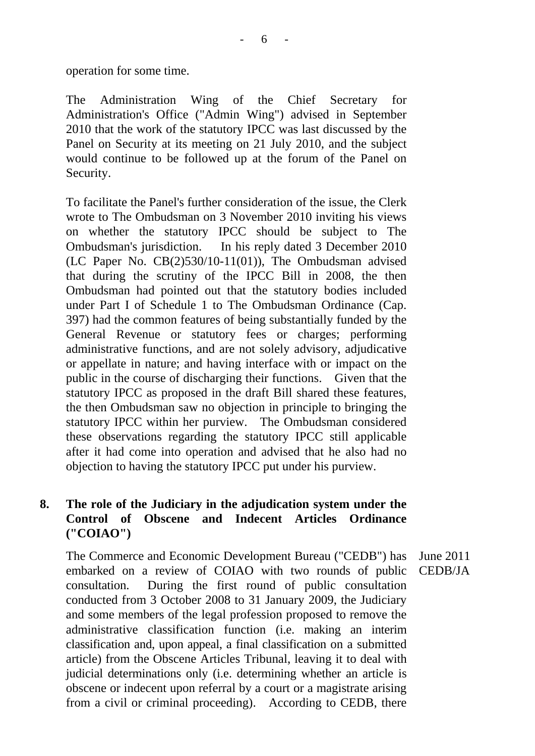operation for some time.

The Administration Wing of the Chief Secretary for Administration's Office ("Admin Wing") advised in September 2010 that the work of the statutory IPCC was last discussed by the Panel on Security at its meeting on 21 July 2010, and the subject would continue to be followed up at the forum of the Panel on Security.

To facilitate the Panel's further consideration of the issue, the Clerk wrote to The Ombudsman on 3 November 2010 inviting his views on whether the statutory IPCC should be subject to The Ombudsman's jurisdiction. In his reply dated 3 December 2010 (LC Paper No. CB(2)530/10-11(01)), The Ombudsman advised that during the scrutiny of the IPCC Bill in 2008, the then Ombudsman had pointed out that the statutory bodies included under Part I of Schedule 1 to The Ombudsman Ordinance (Cap. 397) had the common features of being substantially funded by the General Revenue or statutory fees or charges; performing administrative functions, and are not solely advisory, adjudicative or appellate in nature; and having interface with or impact on the public in the course of discharging their functions. Given that the statutory IPCC as proposed in the draft Bill shared these features, the then Ombudsman saw no objection in principle to bringing the statutory IPCC within her purview. The Ombudsman considered these observations regarding the statutory IPCC still applicable after it had come into operation and advised that he also had no objection to having the statutory IPCC put under his purview.

# **8. The role of the Judiciary in the adjudication system under the Control of Obscene and Indecent Articles Ordinance ("COIAO")**

The Commerce and Economic Development Bureau ("CEDB") has embarked on a review of COIAO with two rounds of public consultation. During the first round of public consultation conducted from 3 October 2008 to 31 January 2009, the Judiciary and some members of the legal profession proposed to remove the administrative classification function (i.e. making an interim classification and, upon appeal, a final classification on a submitted article) from the Obscene Articles Tribunal, leaving it to deal with judicial determinations only (i.e. determining whether an article is obscene or indecent upon referral by a court or a magistrate arising from a civil or criminal proceeding). According to CEDB, there

June 2011 CEDB/JA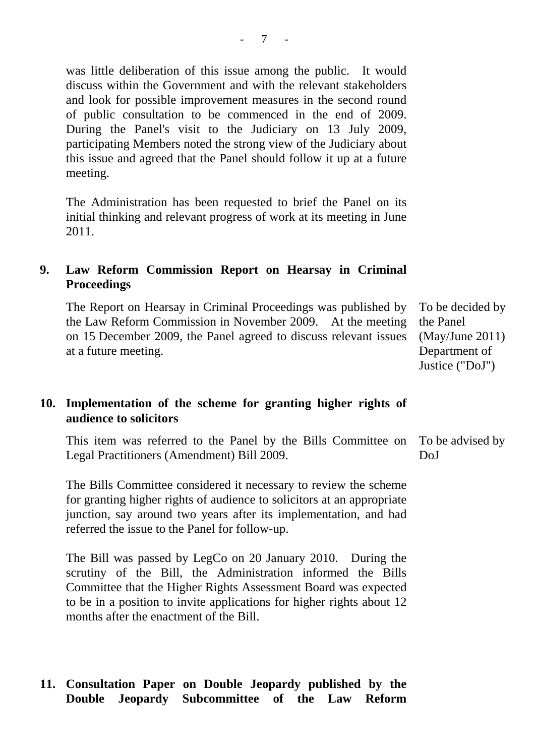was little deliberation of this issue among the public. It would discuss within the Government and with the relevant stakeholders and look for possible improvement measures in the second round of public consultation to be commenced in the end of 2009. During the Panel's visit to the Judiciary on 13 July 2009, participating Members noted the strong view of the Judiciary about this issue and agreed that the Panel should follow it up at a future meeting.

The Administration has been requested to brief the Panel on its initial thinking and relevant progress of work at its meeting in June 2011.

# **9. Law Reform Commission Report on Hearsay in Criminal Proceedings**

The Report on Hearsay in Criminal Proceedings was published by the Law Reform Commission in November 2009. At the meeting on 15 December 2009, the Panel agreed to discuss relevant issues at a future meeting. To be decided by the Panel

### **10. Implementation of the scheme for granting higher rights of audience to solicitors**

This item was referred to the Panel by the Bills Committee on Legal Practitioners (Amendment) Bill 2009. To be advised by DoJ

The Bills Committee considered it necessary to review the scheme for granting higher rights of audience to solicitors at an appropriate junction, say around two years after its implementation, and had referred the issue to the Panel for follow-up.

The Bill was passed by LegCo on 20 January 2010. During the scrutiny of the Bill, the Administration informed the Bills Committee that the Higher Rights Assessment Board was expected to be in a position to invite applications for higher rights about 12 months after the enactment of the Bill.

### **11. Consultation Paper on Double Jeopardy published by the Double Jeopardy Subcommittee of the Law Reform**

(May/June 2011) Department of Justice ("DoJ")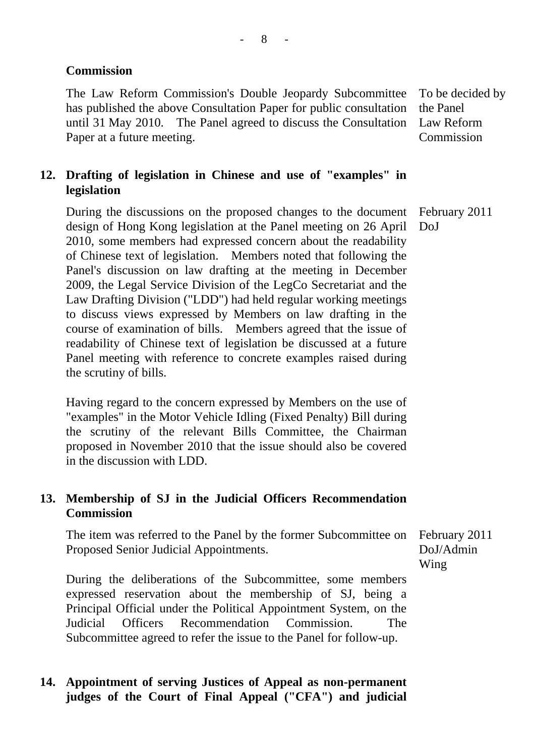# **Commission**

The Law Reform Commission's Double Jeopardy Subcommittee has published the above Consultation Paper for public consultation until 31 May 2010. The Panel agreed to discuss the Consultation Paper at a future meeting.

To be decided by the Panel Law Reform **Commission** 

# **12. Drafting of legislation in Chinese and use of "examples" in legislation**

During the discussions on the proposed changes to the document design of Hong Kong legislation at the Panel meeting on 26 April 2010, some members had expressed concern about the readability of Chinese text of legislation. Members noted that following the Panel's discussion on law drafting at the meeting in December 2009, the Legal Service Division of the LegCo Secretariat and the Law Drafting Division ("LDD") had held regular working meetings to discuss views expressed by Members on law drafting in the course of examination of bills. Members agreed that the issue of readability of Chinese text of legislation be discussed at a future Panel meeting with reference to concrete examples raised during the scrutiny of bills. February 2011 DoJ

Having regard to the concern expressed by Members on the use of "examples" in the Motor Vehicle Idling (Fixed Penalty) Bill during the scrutiny of the relevant Bills Committee, the Chairman proposed in November 2010 that the issue should also be covered in the discussion with LDD.

# **13. Membership of SJ in the Judicial Officers Recommendation Commission**

The item was referred to the Panel by the former Subcommittee on Proposed Senior Judicial Appointments.

February 2011 DoJ/Admin Wing

During the deliberations of the Subcommittee, some members expressed reservation about the membership of SJ, being a Principal Official under the Political Appointment System, on the Judicial Officers Recommendation Commission. The Subcommittee agreed to refer the issue to the Panel for follow-up.

# **14. Appointment of serving Justices of Appeal as non-permanent judges of the Court of Final Appeal ("CFA") and judicial**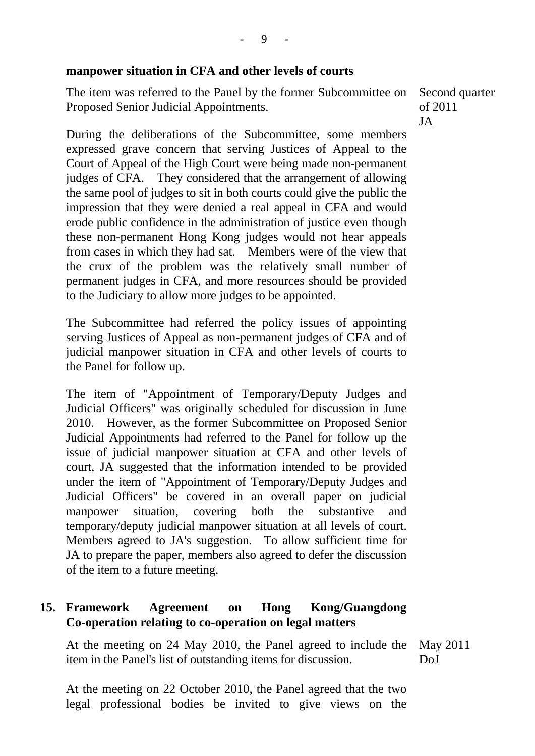#### **manpower situation in CFA and other levels of courts**

The item was referred to the Panel by the former Subcommittee on Proposed Senior Judicial Appointments.

Second quarter of 2011 JA

During the deliberations of the Subcommittee, some members expressed grave concern that serving Justices of Appeal to the Court of Appeal of the High Court were being made non-permanent judges of CFA. They considered that the arrangement of allowing the same pool of judges to sit in both courts could give the public the impression that they were denied a real appeal in CFA and would erode public confidence in the administration of justice even though these non-permanent Hong Kong judges would not hear appeals from cases in which they had sat. Members were of the view that the crux of the problem was the relatively small number of permanent judges in CFA, and more resources should be provided to the Judiciary to allow more judges to be appointed.

The Subcommittee had referred the policy issues of appointing serving Justices of Appeal as non-permanent judges of CFA and of judicial manpower situation in CFA and other levels of courts to the Panel for follow up.

The item of "Appointment of Temporary/Deputy Judges and Judicial Officers" was originally scheduled for discussion in June 2010. However, as the former Subcommittee on Proposed Senior Judicial Appointments had referred to the Panel for follow up the issue of judicial manpower situation at CFA and other levels of court, JA suggested that the information intended to be provided under the item of "Appointment of Temporary/Deputy Judges and Judicial Officers" be covered in an overall paper on judicial manpower situation, covering both the substantive and temporary/deputy judicial manpower situation at all levels of court. Members agreed to JA's suggestion. To allow sufficient time for JA to prepare the paper, members also agreed to defer the discussion of the item to a future meeting.

# **15. Framework Agreement on Hong Kong/Guangdong Co-operation relating to co-operation on legal matters**

At the meeting on 24 May 2010, the Panel agreed to include the item in the Panel's list of outstanding items for discussion. May 2011 DoJ

At the meeting on 22 October 2010, the Panel agreed that the two legal professional bodies be invited to give views on the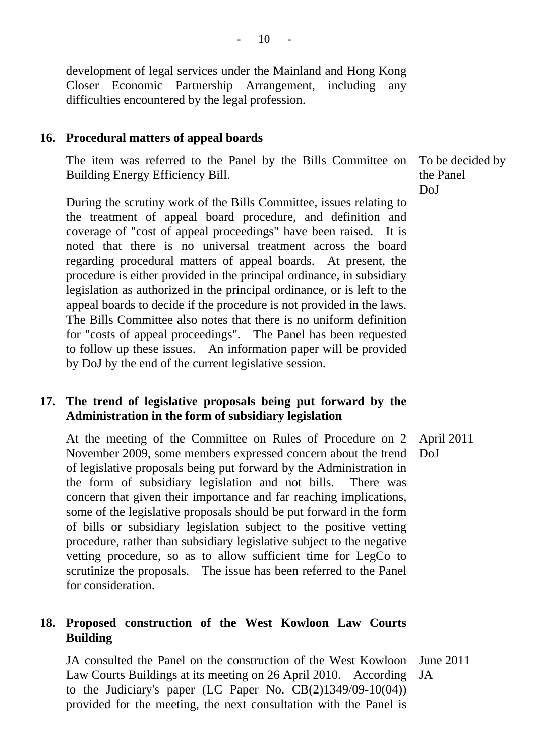development of legal services under the Mainland and Hong Kong Closer Economic Partnership Arrangement, including any difficulties encountered by the legal profession.

#### **16. Procedural matters of appeal boards**

The item was referred to the Panel by the Bills Committee on Building Energy Efficiency Bill.

During the scrutiny work of the Bills Committee, issues relating to the treatment of appeal board procedure, and definition and coverage of "cost of appeal proceedings" have been raised. It is noted that there is no universal treatment across the board regarding procedural matters of appeal boards. At present, the procedure is either provided in the principal ordinance, in subsidiary legislation as authorized in the principal ordinance, or is left to the appeal boards to decide if the procedure is not provided in the laws. The Bills Committee also notes that there is no uniform definition for "costs of appeal proceedings". The Panel has been requested to follow up these issues. An information paper will be provided by DoJ by the end of the current legislative session.

#### **17. The trend of legislative proposals being put forward by the Administration in the form of subsidiary legislation**

At the meeting of the Committee on Rules of Procedure on 2 November 2009, some members expressed concern about the trend of legislative proposals being put forward by the Administration in the form of subsidiary legislation and not bills. There was concern that given their importance and far reaching implications, some of the legislative proposals should be put forward in the form of bills or subsidiary legislation subject to the positive vetting procedure, rather than subsidiary legislative subject to the negative vetting procedure, so as to allow sufficient time for LegCo to scrutinize the proposals. The issue has been referred to the Panel for consideration. April 2011 DoJ

### **18. Proposed construction of the West Kowloon Law Courts Building**

JA consulted the Panel on the construction of the West Kowloon Law Courts Buildings at its meeting on 26 April 2010. According to the Judiciary's paper (LC Paper No. CB(2)1349/09-10(04)) provided for the meeting, the next consultation with the Panel is June 2011 JA

To be decided by the Panel DoJ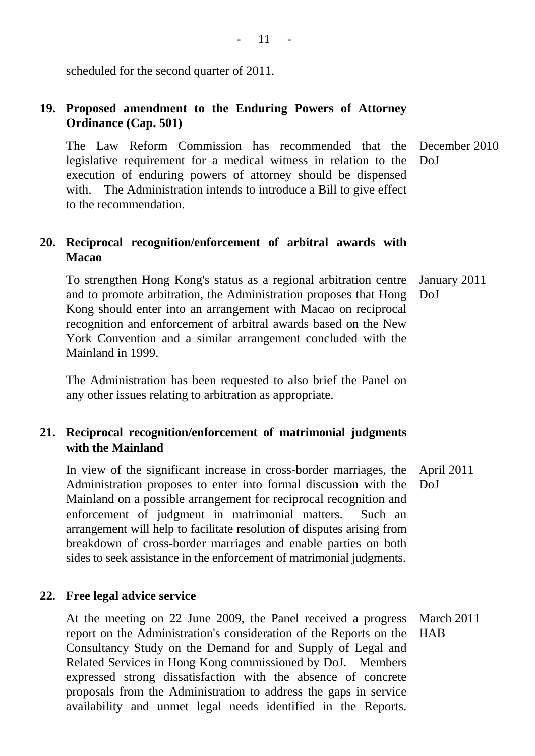scheduled for the second quarter of 2011.

# **19. Proposed amendment to the Enduring Powers of Attorney Ordinance (Cap. 501)**

The Law Reform Commission has recommended that the legislative requirement for a medical witness in relation to the execution of enduring powers of attorney should be dispensed with. The Administration intends to introduce a Bill to give effect to the recommendation. December 2010 DoJ

# **20. Reciprocal recognition/enforcement of arbitral awards with Macao**

To strengthen Hong Kong's status as a regional arbitration centre and to promote arbitration, the Administration proposes that Hong Kong should enter into an arrangement with Macao on reciprocal recognition and enforcement of arbitral awards based on the New York Convention and a similar arrangement concluded with the Mainland in 1999. January 2011 DoJ

The Administration has been requested to also brief the Panel on any other issues relating to arbitration as appropriate.

# **21. Reciprocal recognition/enforcement of matrimonial judgments with the Mainland**

In view of the significant increase in cross-border marriages, the Administration proposes to enter into formal discussion with the Mainland on a possible arrangement for reciprocal recognition and enforcement of judgment in matrimonial matters. Such an arrangement will help to facilitate resolution of disputes arising from breakdown of cross-border marriages and enable parties on both sides to seek assistance in the enforcement of matrimonial judgments. April 2011 DoJ

### **22. Free legal advice service**

At the meeting on 22 June 2009, the Panel received a progress report on the Administration's consideration of the Reports on the HAB Consultancy Study on the Demand for and Supply of Legal and Related Services in Hong Kong commissioned by DoJ. Members expressed strong dissatisfaction with the absence of concrete proposals from the Administration to address the gaps in service availability and unmet legal needs identified in the Reports. March 2011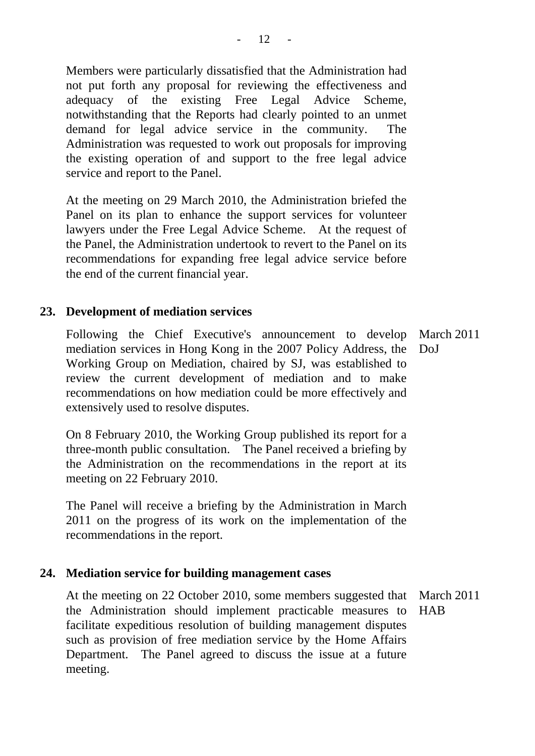Members were particularly dissatisfied that the Administration had not put forth any proposal for reviewing the effectiveness and adequacy of the existing Free Legal Advice Scheme, notwithstanding that the Reports had clearly pointed to an unmet demand for legal advice service in the community. The Administration was requested to work out proposals for improving the existing operation of and support to the free legal advice service and report to the Panel.

At the meeting on 29 March 2010, the Administration briefed the Panel on its plan to enhance the support services for volunteer lawyers under the Free Legal Advice Scheme. At the request of the Panel, the Administration undertook to revert to the Panel on its recommendations for expanding free legal advice service before the end of the current financial year.

### **23. Development of mediation services**

Following the Chief Executive's announcement to develop March 2011 mediation services in Hong Kong in the 2007 Policy Address, the DoJ Working Group on Mediation, chaired by SJ, was established to review the current development of mediation and to make recommendations on how mediation could be more effectively and extensively used to resolve disputes.

On 8 February 2010, the Working Group published its report for a three-month public consultation. The Panel received a briefing by the Administration on the recommendations in the report at its meeting on 22 February 2010.

The Panel will receive a briefing by the Administration in March 2011 on the progress of its work on the implementation of the recommendations in the report.

#### **24. Mediation service for building management cases**

At the meeting on 22 October 2010, some members suggested that March 2011 the Administration should implement practicable measures to HAB facilitate expeditious resolution of building management disputes such as provision of free mediation service by the Home Affairs Department. The Panel agreed to discuss the issue at a future meeting.